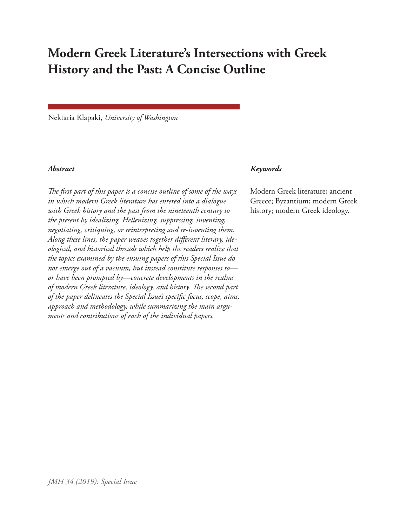# **Modern Greek Literature's Intersections with Greek History and the Past: A Concise Outline**

Nektaria Klapaki, *University of Washington*

*The first part of this paper is a concise outline of some of the ways in which modern Greek literature has entered into a dialogue with Greek history and the past from the nineteenth century to the present by idealizing, Hellenizing, suppressing, inventing, negotiating, critiquing, or reinterpreting and re-inventing them. Along these lines, the paper weaves together different literary, ideological, and historical threads which help the readers realize that the topics examined by the ensuing papers of this Special Issue do not emerge out of a vacuum, but instead constitute responses to or have been prompted by—concrete developments in the realms of modern Greek literature, ideology, and history. The second part of the paper delineates the Special Issue's specific focus, scope, aims, approach and methodology, while summarizing the main arguments and contributions of each of the individual papers.*

### *Abstract Keywords*

Modern Greek literature; ancient Greece; Byzantium; modern Greek history; modern Greek ideology.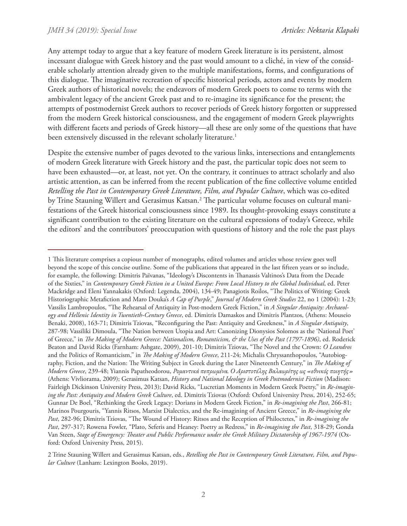Any attempt today to argue that a key feature of modern Greek literature is its persistent, almost incessant dialogue with Greek history and the past would amount to a cliché, in view of the considerable scholarly attention already given to the multiple manifestations, forms, and configurations of this dialogue. The imaginative recreation of specific historical periods, actors and events by modern Greek authors of historical novels; the endeavors of modern Greek poets to come to terms with the ambivalent legacy of the ancient Greek past and to re-imagine its significance for the present; the attempts of postmodernist Greek authors to recover periods of Greek history forgotten or suppressed from the modern Greek historical consciousness, and the engagement of modern Greek playwrights with different facets and periods of Greek history—all these are only some of the questions that have been extensively discussed in the relevant scholarly literature.<sup>1</sup>

Despite the extensive number of pages devoted to the various links, intersections and entanglements of modern Greek literature with Greek history and the past, the particular topic does not seem to have been exhausted—or, at least, not yet. On the contrary, it continues to attract scholarly and also artistic attention, as can be inferred from the recent publication of the fine collective volume entitled *Retelling the Past in Contemporary Greek Literature, Film, and Popular Culture*, which was co-edited by Trine Stauning Willert and Gerasimus Katsan.<sup>2</sup> The particular volume focuses on cultural manifestations of the Greek historical consciousness since 1989. Its thought-provoking essays constitute a significant contribution to the existing literature on the cultural expressions of today's Greece, while the editors' and the contributors' preoccupation with questions of history and the role the past plays

<sup>1</sup> This literature comprises a copious number of monographs, edited volumes and articles whose review goes well beyond the scope of this concise outline. Some of the publications that appeared in the last fifteen years or so include, for example, the following: Dimitris Païvanas, "Ideology's Discontents in Thanassis Valtinos's Data from the Decade of the Sixties," in *Contemporary Greek Fiction in a United Europe: From Local History to the Global Individual*, ed. Peter Mackridge and Eleni Yannakakis (Oxford: Legenda, 2004), 134-49; Panagiotis Roilos, "The Politics of Writing: Greek Historiographic Metafiction and Maro Douka's *A Cap of Purple*," *Journal of Modern Greek Studies* 22, no 1 (2004): 1-23; Vassilis Lambropoulos, "The Rehearsal of Antiquity in Post-modern Greek Fiction," in *A Singular Antiquity: Archaeology and Hellenic Identity in Twentieth-Century Greece*, ed. Dimitris Damaskos and Dimitris Plantzos, (Athens: Mouseio Benaki, 2008), 163-71; Dimitris Tziovas, "Reconfiguring the Past: Antiquity and Greekness," in *A Singular Antiquity*, 287-98; Vassiliki Dimoula, "The Nation between Utopia and Art: Canonizing Dionysios Solomos as the 'National Poet' of Greece," in *The Making of Modern Greece: Nationalism, Romanticism, & the Uses of the Past (1797-1896)*, ed. Roderick Beaton and David Ricks (Farnham: Ashgate, 2009), 201-10; Dimitris Tziovas, "The Novel and the Crown: *O Leandros* and the Politics of Romanticism," in *The Making of Modern Greece*, 211-24; Michalis Chryssanthopoulos, "Autobiography, Fiction, and the Nation: The Writing Subject in Greek during the Later Nineteenth Century," in *The Making of Modern Greece*, 239-48; Yiannis Papatheodorou, *Ρομαντικά πεπρωμένα. Ο Αριστοτέλης Βαλαωρίτης ως «εθνικός ποιητής»* (Athens: Vivliorama, 2009); Gerasimus Katsan, *History and National Ideology in Greek Postmodernist Fiction* (Madison: Fairleigh Dickinson University Press, 2013); David Ricks, "Lucretian Moments in Modern Greek Poetry," in *Re-imagining the Past: Antiquity and Modern Greek Culture*, ed. Dimitris Tziovas (Oxford: Oxford University Press, 2014), 252-65; Gunnar De Boel, "Rethinking the Greek Legacy: Dorians in Modern Greek Fiction," in *Re-imagining the Past*, 266-81; Marinos Pourgouris, "Yannis Ritsos, Marxist Dialectics, and the Re-imagining of Ancient Greece," in *Re-imagining the Past*, 282-96; Dimitris Tziovas, "The Wound of History: Ritsos and the Reception of Philoctetes," in *Re-imagining the Past*, 297-317; Rowena Fowler, "Plato, Seferis and Heaney: Poetry as Redress," in *Re-imagining the Past*, 318-29; Gonda Van Steen, *Stage of Emergency: Theater and Public Performance under the Greek Military Dictatorship of 1967-1974* (Oxford: Oxford University Press, 2015).

<sup>2</sup> Trine Stauning Willert and Gerasimus Katsan, eds., *Retelling the Past in Contemporary Greek Literature, Film, and Popular Culture* (Lanham: Lexington Books, 2019).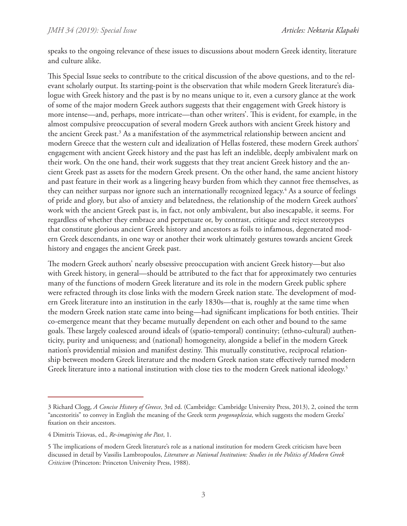speaks to the ongoing relevance of these issues to discussions about modern Greek identity, literature and culture alike.

This Special Issue seeks to contribute to the critical discussion of the above questions, and to the relevant scholarly output. Its starting-point is the observation that while modern Greek literature's dialogue with Greek history and the past is by no means unique to it, even a cursory glance at the work of some of the major modern Greek authors suggests that their engagement with Greek history is more intense—and, perhaps, more intricate—than other writers'. This is evident, for example, in the almost compulsive preoccupation of several modern Greek authors with ancient Greek history and the ancient Greek past.<sup>3</sup> As a manifestation of the asymmetrical relationship between ancient and modern Greece that the western cult and idealization of Hellas fostered, these modern Greek authors' engagement with ancient Greek history and the past has left an indelible, deeply ambivalent mark on their work. On the one hand, their work suggests that they treat ancient Greek history and the ancient Greek past as assets for the modern Greek present. On the other hand, the same ancient history and past feature in their work as a lingering heavy burden from which they cannot free themselves, as they can neither surpass nor ignore such an internationally recognized legacy. $4$  As a source of feelings of pride and glory, but also of anxiety and belatedness, the relationship of the modern Greek authors' work with the ancient Greek past is, in fact, not only ambivalent, but also inescapable, it seems. For regardless of whether they embrace and perpetuate or, by contrast, critique and reject stereotypes that constitute glorious ancient Greek history and ancestors as foils to infamous, degenerated modern Greek descendants, in one way or another their work ultimately gestures towards ancient Greek history and engages the ancient Greek past.

The modern Greek authors' nearly obsessive preoccupation with ancient Greek history—but also with Greek history, in general—should be attributed to the fact that for approximately two centuries many of the functions of modern Greek literature and its role in the modern Greek public sphere were refracted through its close links with the modern Greek nation state. The development of modern Greek literature into an institution in the early 1830s—that is, roughly at the same time when the modern Greek nation state came into being—had significant implications for both entities. Their co-emergence meant that they became mutually dependent on each other and bound to the same goals. These largely coalesced around ideals of (spatio-temporal) continuity; (ethno-cultural) authenticity, purity and uniqueness; and (national) homogeneity, alongside a belief in the modern Greek nation's providential mission and manifest destiny. This mutually constitutive, reciprocal relationship between modern Greek literature and the modern Greek nation state effectively turned modern Greek literature into a national institution with close ties to the modern Greek national ideology.<sup>5</sup>

<sup>3</sup> Richard Clogg, *A Concise History of Greece*, 3rd ed. (Cambridge: Cambridge University Press, 2013), 2, coined the term "ancestoritis" to convey in English the meaning of the Greek term *progonoplexia*, which suggests the modern Greeks' fixation on their ancestors.

<sup>4</sup> Dimitris Tziovas, ed., *Re-imagining the Past*, 1.

<sup>5</sup> The implications of modern Greek literature's role as a national institution for modern Greek criticism have been discussed in detail by Vassilis Lambropoulos, *Literature as National Institution: Studies in the Politics of Modern Greek Criticism* (Princeton: Princeton University Press, 1988).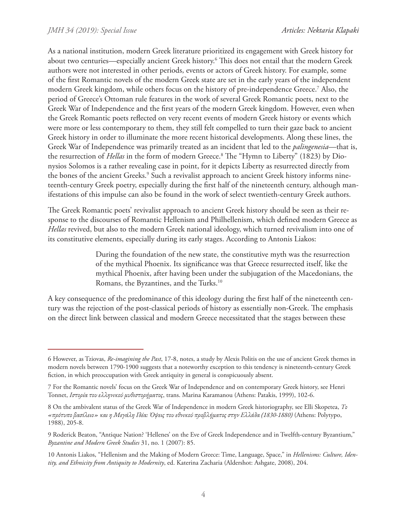As a national institution, modern Greek literature prioritized its engagement with Greek history for about two centuries—especially ancient Greek history.6 This does not entail that the modern Greek authors were not interested in other periods, events or actors of Greek history. For example, some of the first Romantic novels of the modern Greek state are set in the early years of the independent modern Greek kingdom, while others focus on the history of pre-independence Greece.7 Also, the period of Greece's Ottoman rule features in the work of several Greek Romantic poets, next to the Greek War of Independence and the first years of the modern Greek kingdom. However, even when the Greek Romantic poets reflected on very recent events of modern Greek history or events which were more or less contemporary to them, they still felt compelled to turn their gaze back to ancient Greek history in order to illuminate the more recent historical developments. Along these lines, the Greek War of Independence was primarily treated as an incident that led to the *palingenesia*—that is, the resurrection of *Hellas* in the form of modern Greece.8 The "Hymn to Liberty" (1823) by Dionysios Solomos is a rather revealing case in point, for it depicts Liberty as resurrected directly from the bones of the ancient Greeks.<sup>9</sup> Such a revivalist approach to ancient Greek history informs nineteenth-century Greek poetry, especially during the first half of the nineteenth century, although manifestations of this impulse can also be found in the work of select twentieth-century Greek authors.

The Greek Romantic poets' revivalist approach to ancient Greek history should be seen as their response to the discourses of Romantic Hellenism and Philhellenism, which defined modern Greece as *Hellas* revived, but also to the modern Greek national ideology, which turned revivalism into one of its constitutive elements, especially during its early stages. According to Antonis Liakos:

> During the foundation of the new state, the constitutive myth was the resurrection of the mythical Phoenix. Its significance was that Greece resurrected itself, like the mythical Phoenix, after having been under the subjugation of the Macedonians, the Romans, the Byzantines, and the Turks.<sup>10</sup>

A key consequence of the predominance of this ideology during the first half of the nineteenth century was the rejection of the post-classical periods of history as essentially non-Greek. The emphasis on the direct link between classical and modern Greece necessitated that the stages between these

<sup>6</sup> However, as Tziovas, *Re-imagining the Past*, 17-8, notes, a study by Alexis Politis on the use of ancient Greek themes in modern novels between 1790-1900 suggests that a noteworthy exception to this tendency is nineteenth-century Greek fiction, in which preoccupation with Greek antiquity in general is conspicuously absent.

<sup>7</sup> For the Romantic novels' focus on the Greek War of Independence and on contemporary Greek history, see Henri Tonnet, *Ιστορία του ελληνικού μυθιστορήματος*, trans. Marina Karamanou (Athens: Patakis, 1999), 102-6.

<sup>8</sup> On the ambivalent status of the Greek War of Independence in modern Greek historiography, see Elli Skopetea, *Το «πρότυπο βασίλειο» και η Μεγάλη Ιδέα: Όψεις του εθνικού προβλήματος στην Ελλάδα (1830-1880)* (Athens: Polytypo, 1988), 205-8.

<sup>9</sup> Roderick Beaton, "Antique Nation? 'Hellenes' on the Eve of Greek Independence and in Twelfth-century Byzantium," *Byzantine and Modern Greek Studies* 31, no. 1 (2007): 85.

<sup>10</sup> Antonis Liakos, "Hellenism and the Making of Modern Greece: Time, Language, Space," in *Hellenisms: Culture, Identity, and Ethnicity from Antiquity to Modernity*, ed. Katerina Zacharia (Aldershot: Ashgate, 2008), 204.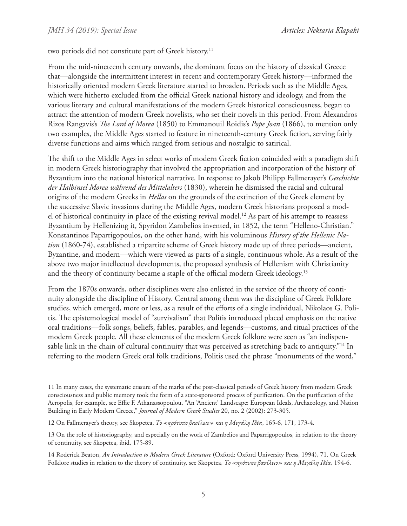two periods did not constitute part of Greek history.11

From the mid-nineteenth century onwards, the dominant focus on the history of classical Greece that—alongside the intermittent interest in recent and contemporary Greek history—informed the historically oriented modern Greek literature started to broaden. Periods such as the Middle Ages, which were hitherto excluded from the official Greek national history and ideology, and from the various literary and cultural manifestations of the modern Greek historical consciousness, began to attract the attention of modern Greek novelists, who set their novels in this period. From Alexandros Rizos Rangavis's *The Lord of Morea* (1850) to Emmanouil Roidis's *Pope Joan* (1866), to mention only two examples, the Middle Ages started to feature in nineteenth-century Greek fiction, serving fairly diverse functions and aims which ranged from serious and nostalgic to satirical.

The shift to the Middle Ages in select works of modern Greek fiction coincided with a paradigm shift in modern Greek historiography that involved the appropriation and incorporation of the history of Byzantium into the national historical narrative. In response to Jakob Philipp Fallmerayer's *Geschichte der Halbinsel Morea während des Mittelalters* (1830), wherein he dismissed the racial and cultural origins of the modern Greeks in *Hellas* on the grounds of the extinction of the Greek element by the successive Slavic invasions during the Middle Ages, modern Greek historians proposed a model of historical continuity in place of the existing revival model.12 As part of his attempt to reassess Byzantium by Hellenizing it, Spyridon Zambelios invented, in 1852, the term "Helleno-Christian." Konstantinos Paparrigopoulos, on the other hand, with his voluminous *History of the Hellenic Nation* (1860-74), established a tripartite scheme of Greek history made up of three periods—ancient, Byzantine, and modern—which were viewed as parts of a single, continuous whole. As a result of the above two major intellectual developments, the proposed synthesis of Hellenism with Christianity and the theory of continuity became a staple of the official modern Greek ideology.<sup>13</sup>

From the 1870s onwards, other disciplines were also enlisted in the service of the theory of continuity alongside the discipline of History. Central among them was the discipline of Greek Folklore studies, which emerged, more or less, as a result of the efforts of a single individual, Nikolaos G. Politis. The epistemological model of "survivalism" that Politis introduced placed emphasis on the native oral traditions—folk songs, beliefs, fables, parables, and legends—customs, and ritual practices of the modern Greek people. All these elements of the modern Greek folklore were seen as "an indispensable link in the chain of cultural continuity that was perceived as stretching back to antiquity."<sup>14</sup> In referring to the modern Greek oral folk traditions, Politis used the phrase "monuments of the word,"

<sup>11</sup> In many cases, the systematic erasure of the marks of the post-classical periods of Greek history from modern Greek consciousness and public memory took the form of a state-sponsored process of purification. On the purification of the Acropolis, for example, see Effie F. Athanassopoulou, "An 'Ancient' Landscape: European Ideals, Archaeology, and Nation Building in Early Modern Greece," *Journal of Modern Greek Studies* 20, no. 2 (2002): 273-305.

<sup>12</sup> On Fallmerayer's theory, see Skopetea, *Το «πρότυπο βασίλειο» και η Μεγάλη Ιδέα*, 165-6, 171, 173-4.

<sup>13</sup> On the role of historiography, and especially on the work of Zambelios and Paparrigopoulos, in relation to the theory of continuity, see Skopetea, ibid, 175-89.

<sup>14</sup> Roderick Beaton, *An Introduction to Modern Greek Literature* (Oxford: Oxford University Press, 1994), 71. On Greek Folklore studies in relation to the theory of continuity, see Skopetea, *Το «πρότυπο βασίλειο» και η Μεγάλη Ιδέα*, 194-6.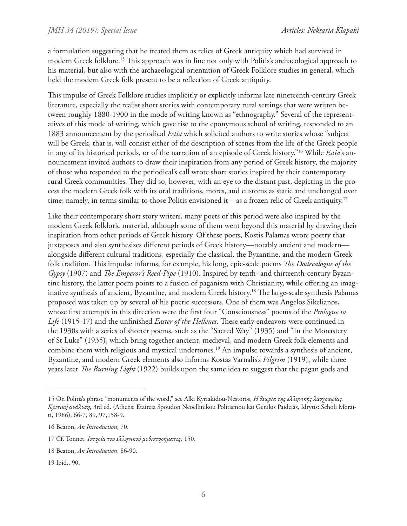a formulation suggesting that he treated them as relics of Greek antiquity which had survived in modern Greek folklore.15 This approach was in line not only with Politis's archaeological approach to his material, but also with the archaeological orientation of Greek Folklore studies in general, which held the modern Greek folk present to be a reflection of Greek antiquity.

This impulse of Greek Folklore studies implicitly or explicitly informs late nineteenth-century Greek literature, especially the realist short stories with contemporary rural settings that were written between roughly 1880-1900 in the mode of writing known as "ethnography." Several of the representatives of this mode of writing, which gave rise to the eponymous school of writing, responded to an 1883 announcement by the periodical *Estia* which solicited authors to write stories whose "subject will be Greek, that is, will consist either of the description of scenes from the life of the Greek people in any of its historical periods, or of the narration of an episode of Greek history."16 While *Estia*'s announcement invited authors to draw their inspiration from any period of Greek history, the majority of those who responded to the periodical's call wrote short stories inspired by their contemporary rural Greek communities. They did so, however, with an eye to the distant past, depicting in the process the modern Greek folk with its oral traditions, mores, and customs as static and unchanged over time; namely, in terms similar to those Politis envisioned it—as a frozen relic of Greek antiquity.<sup>17</sup>

Like their contemporary short story writers, many poets of this period were also inspired by the modern Greek folkloric material, although some of them went beyond this material by drawing their inspiration from other periods of Greek history. Of these poets, Kostis Palamas wrote poetry that juxtaposes and also synthesizes different periods of Greek history—notably ancient and modern alongside different cultural traditions, especially the classical, the Byzantine, and the modern Greek folk tradition. This impulse informs, for example, his long, epic-scale poems *The Dodecalogue of the Gypsy* (1907) and *The Emperor's Reed-Pipe* (1910). Inspired by tenth- and thirteenth-century Byzantine history, the latter poem points to a fusion of paganism with Christianity, while offering an imaginative synthesis of ancient, Byzantine, and modern Greek history.18 The large-scale synthesis Palamas proposed was taken up by several of his poetic successors. One of them was Angelos Sikelianos, whose first attempts in this direction were the first four "Consciousness" poems of the *Prologue to Life* (1915-17) and the unfinished *Easter of the Hellenes*. These early endeavors were continued in the 1930s with a series of shorter poems, such as the "Sacred Way" (1935) and "In the Monastery of St Luke" (1935), which bring together ancient, medieval, and modern Greek folk elements and combine them with religious and mystical undertones.<sup>19</sup> An impulse towards a synthesis of ancient, Byzantine, and modern Greek elements also informs Kostas Varnalis's *Pilgrim* (1919), while three years later *The Burning Light* (1922) builds upon the same idea to suggest that the pagan gods and

<sup>15</sup> On Politis's phrase "monuments of the word," see Alki Kyriakidou-Nestoros, *Η θεωρία της ελληνικής λαογραφίας. Κριτική ανάλυση,* 3rd ed. (Athens: Etaireia Spoudon Neoellinikou Politismou kai Genikis Paideias, Idrytis: Scholi Moraiti, 1986), 66-7, 89, 97,158-9.

<sup>16</sup> Beaton, *An Introduction*, 70.

<sup>17</sup> Cf. Tonnet, *Ιστορία του ελληνικού μυθιστορήματος*, 150.

<sup>18</sup> Beaton, *An Introduction*, 86-90.

<sup>19</sup> Ibid., 90.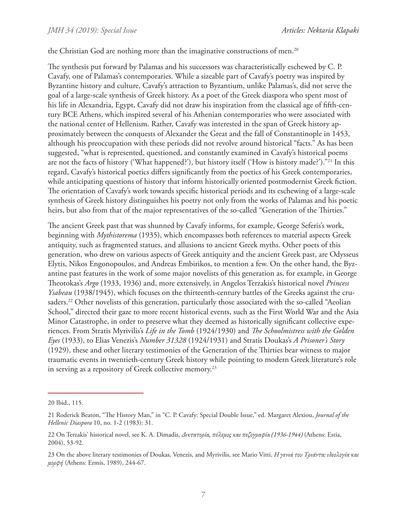the Christian God are nothing more than the imaginative constructions of men.<sup>20</sup>

The synthesis put forward by Palamas and his successors was characteristically eschewed by C. P. Cavafy, one of Palamas's contemporaries. While a sizeable part of Cavafy's poetry was inspired by Byzantine history and culture, Cavafy's attraction to Byzantium, unlike Palamas's, did not serve the goal of a large-scale synthesis of Greek history. As a poet of the Greek diaspora who spent most of his life in Alexandria, Egypt, Cavafy did not draw his inspiration from the classical age of fifth-century BCE Athens, which inspired several of his Athenian contemporaries who were associated with the national center of Hellenism. Rather, Cavafy was interested in the span of Greek history approximately between the conquests of Alexander the Great and the fall of Constantinople in 1453, although his preoccupation with these periods did not revolve around historical "facts." As has been suggested, "what is represented, questioned, and constantly examined in Cavafy's historical poems are not the facts of history ('What happened?'), but history itself ('How is history made?')."21 In this regard, Cavafy's historical poetics differs significantly from the poetics of his Greek contemporaries, while anticipating questions of history that inform historically oriented postmodernist Greek fiction. The orientation of Cavafy's work towards specific historical periods and its eschewing of a large-scale synthesis of Greek history distinguishes his poetry not only from the works of Palamas and his poetic heirs, but also from that of the major representatives of the so-called "Generation of the Thirties."

The ancient Greek past that was shunned by Cavafy informs, for example, George Seferis's work, beginning with *Mythistorema* (1935), which encompasses both references to material aspects Greek antiquity, such as fragmented statues, and allusions to ancient Greek myths. Other poets of this generation, who drew on various aspects of Greek antiquity and the ancient Greek past, are Odysseus Elytis, Nikos Engonopoulos, and Andreas Embirikos, to mention a few. On the other hand, the Byzantine past features in the work of some major novelists of this generation as, for example, in George Theotokas's *Argo* (1933, 1936) and, more extensively, in Angelos Terzakis's historical novel *Princess Ysabeau* (1938/1945), which focuses on the thirteenth-century battles of the Greeks against the crusaders.<sup>22</sup> Other novelists of this generation, particularly those associated with the so-called "Aeolian School," directed their gaze to more recent historical events, such as the First World War and the Asia Minor Catastrophe, in order to preserve what they deemed as historically significant collective experiences. From Stratis Myrivilis's *Life in the Tomb* (1924/1930) and *The Schoolmistress with the Golden Eyes* (1933), to Elias Venezis's *Number 31328* (1924/1931) and Stratis Doukas's *A Prisoner's Story* (1929), these and other literary testimonies of the Generation of the Thirties bear witness to major traumatic events in twentieth-century Greek history while pointing to modern Greek literature's role in serving as a repository of Greek collective memory.<sup>23</sup>

<sup>20</sup> Ibid., 115.

<sup>21</sup> Roderick Beaton, "The History Man," in "C. P. Cavafy: Special Double Issue," ed. Margaret Alexiou, *Journal of the Hellenic Diaspora* 10, no. 1-2 (1983): 31.

<sup>22</sup> On Terzakis' historical novel, see K. A. Dimadis, *Δικτατορία, πόλεμος και πεζογραφία (1936-1944)* (Athens: Estia, 2004), 53-92.

<sup>23</sup> On the above literary testimonies of Doukas, Venezis, and Myrivilis, see Mario Vitti, *Η γενιά του Τριάντα: ιδεολογία και μορφή* (Athens: Ermis, 1989), 244-67.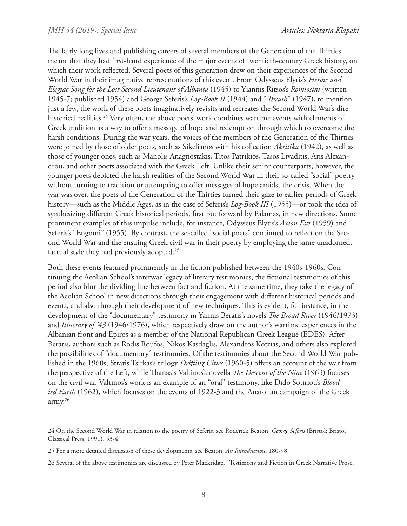The fairly long lives and publishing careers of several members of the Generation of the Thirties meant that they had first-hand experience of the major events of twentieth-century Greek history, on which their work reflected. Several poets of this generation drew on their experiences of the Second World War in their imaginative representations of this event. From Odysseus Elytis's *Heroic and Elegiac Song for the Lost Second Lieutenant of Albania* (1945) to Yiannis Ritsos's *Romiosini* (written 1945-7; published 1954) and George Seferis's *Log-Book II* (1944) and "*Thrush*" (1947), to mention just a few, the work of these poets imaginatively revisits and recreates the Second World War's dire historical realities.<sup>24</sup> Very often, the above poets' work combines wartime events with elements of Greek tradition as a way to offer a message of hope and redemption through which to overcome the harsh conditions. During the war years, the voices of the members of the Generation of the Thirties were joined by those of older poets, such as Sikelianos with his collection *Akritika* (1942), as well as those of younger ones, such as Manolis Anagnostakis, Titos Patrikios, Tasos Livaditis, Aris Alexandrou, and other poets associated with the Greek Left. Unlike their senior counterparts, however, the younger poets depicted the harsh realities of the Second World War in their so-called "social" poetry without turning to tradition or attempting to offer messages of hope amidst the crisis. When the war was over, the poets of the Generation of the Thirties turned their gaze to earlier periods of Greek history—such as the Middle Ages, as in the case of Seferis's *Log-Book III* (1955)—or took the idea of synthesizing different Greek historical periods, first put forward by Palamas, in new directions. Some prominent examples of this impulse include, for instance, Odysseus Elytis's *Axion Esti* (1959) and Seferis's "Engomi" (1955). By contrast, the so-called "social poets" continued to reflect on the Second World War and the ensuing Greek civil war in their poetry by employing the same unadorned, factual style they had previously adopted.25

Both these events featured prominently in the fiction published between the 1940s-1960s. Continuing the Aeolian School's interwar legacy of literary testimonies, the fictional testimonies of this period also blur the dividing line between fact and fiction. At the same time, they take the legacy of the Aeolian School in new directions through their engagement with different historical periods and events, and also through their development of new techniques. This is evident, for instance, in the development of the "documentary" testimony in Yannis Beratis's novels *The Broad River* (1946/1973) and *Itinerary of '43* (1946/1976), which respectively draw on the author's wartime experiences in the Albanian front and Epiros as a member of the National Republican Greek League (EDES). After Beratis, authors such as Rodis Roufos, Nikos Kasdaglis, Alexandros Kotzias, and others also explored the possibilities of "documentary" testimonies. Of the testimonies about the Second World War published in the 1960s, Stratis Tsirkas's trilogy *Drifting Cities* (1960-5) offers an account of the war from the perspective of the Left, while Thanasis Valtinos's novella *The Descent of the Nine* (1963) focuses on the civil war. Valtinos's work is an example of an "oral" testimony, like Dido Sotiriou's *Bloodied Earth* (1962), which focuses on the events of 1922-3 and the Anatolian campaign of the Greek army.26

<sup>24</sup> On the Second World War in relation to the poetry of Seferis, see Roderick Beaton, *George Seferis* (Bristol: Bristol Classical Press, 1991), 53-4.

<sup>25</sup> For a more detailed discussion of these developments, see Beaton, *An Introduction*, 180-98.

<sup>26</sup> Several of the above testimonies are discussed by Peter Mackridge, "Testimony and Fiction in Greek Narrative Prose,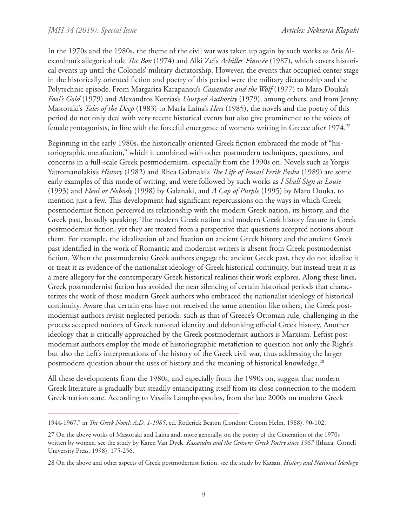In the 1970s and the 1980s, the theme of the civil war was taken up again by such works as Aris Alexandrou's allegorical tale *The Box* (1974) and Alki Zei's *Achilles' Fiancée* (1987), which covers historical events up until the Colonels' military dictatorship. However, the events that occupied center stage in the historically oriented fiction and poetry of this period were the military dictatorship and the Polytechnic episode. From Margarita Karapanou's *Cassandra and the Wolf* (1977) to Maro Douka's *Fool's Gold* (1979) and Alexandros Kotzias's *Usurped Authority* (1979), among others, and from Jenny Mastoraki's *Tales of the Deep* (1983) to Maria Laina's *Hers* (1985), the novels and the poetry of this period do not only deal with very recent historical events but also give prominence to the voices of female protagonists, in line with the forceful emergence of women's writing in Greece after 1974.<sup>27</sup>

Beginning in the early 1980s, the historically oriented Greek fiction embraced the mode of "historiographic metafiction," which it combined with other postmodern techniques, questions, and concerns in a full-scale Greek postmodernism, especially from the 1990s on. Novels such as Yorgis Yatromanolakis's *History* (1982) and Rhea Galanaki's *The Life of Ismail Ferik Pasha* (1989) are some early examples of this mode of writing, and were followed by such works as *I Shall Sign as Louie* (1993) and *Eleni or Nobody* (1998) by Galanaki, and *A Cap of Purple* (1995) by Maro Douka, to mention just a few. This development had significant repercussions on the ways in which Greek postmodernist fiction perceived its relationship with the modern Greek nation, its history, and the Greek past, broadly speaking. The modern Greek nation and modern Greek history feature in Greek postmodernist fiction, yet they are treated from a perspective that questions accepted notions about them. For example, the idealization of and fixation on ancient Greek history and the ancient Greek past identified in the work of Romantic and modernist writers is absent from Greek postmodernist fiction. When the postmodernist Greek authors engage the ancient Greek past, they do not idealize it or treat it as evidence of the nationalist ideology of Greek historical continuity, but instead treat it as a mere allegory for the contemporary Greek historical realities their work explores. Along these lines, Greek postmodernist fiction has avoided the near silencing of certain historical periods that characterizes the work of those modern Greek authors who embraced the nationalist ideology of historical continuity. Aware that certain eras have not received the same attention like others, the Greek postmodernist authors revisit neglected periods, such as that of Greece's Ottoman rule, challenging in the process accepted notions of Greek national identity and debunking official Greek history. Another ideology that is critically approached by the Greek postmodernist authors is Marxism. Leftist postmodernist authors employ the mode of historiographic metafiction to question not only the Right's but also the Left's interpretations of the history of the Greek civil war, thus addressing the larger postmodern question about the uses of history and the meaning of historical knowledge.<sup>28</sup>

All these developments from the 1980s, and especially from the 1990s on, suggest that modern Greek literature is gradually but steadily emancipating itself from its close connection to the modern Greek nation state. According to Vassilis Lampbropoulos, from the late 2000s on modern Greek

<sup>1944-1967,&</sup>quot; in *The Greek Novel: A.D. 1-1985*, ed. Roderick Beaton (London: Croom Helm, 1988), 90-102.

<sup>27</sup> On the above works of Mastoraki and Laina and, more generally, on the poetry of the Generation of the 1970s written by women, see the study by Karen Van Dyck, *Kassandra and the Censors: Greek Poetry since 1967* (Ithaca: Cornell University Press, 1998), 175-256.

<sup>28</sup> On the above and other aspects of Greek postmodernist fiction, see the study by Katsan, *History and National Ideology.*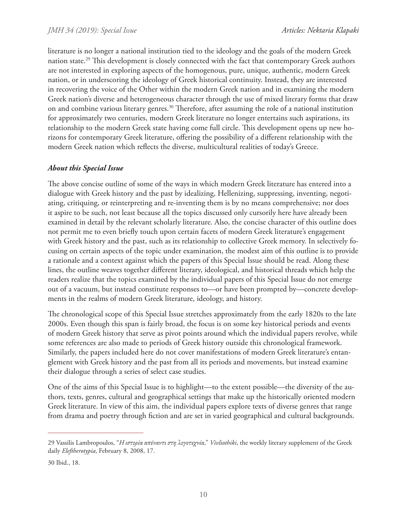literature is no longer a national institution tied to the ideology and the goals of the modern Greek nation state.29 This development is closely connected with the fact that contemporary Greek authors are not interested in exploring aspects of the homogenous, pure, unique, authentic, modern Greek nation, or in underscoring the ideology of Greek historical continuity. Instead, they are interested in recovering the voice of the Other within the modern Greek nation and in examining the modern Greek nation's diverse and heterogeneous character through the use of mixed literary forms that draw on and combine various literary genres.30 Therefore, after assuming the role of a national institution for approximately two centuries, modern Greek literature no longer entertains such aspirations, its relationship to the modern Greek state having come full circle. This development opens up new horizons for contemporary Greek literature, offering the possibility of a different relationship with the modern Greek nation which reflects the diverse, multicultural realities of today's Greece.

## *About this Special Issue*

The above concise outline of some of the ways in which modern Greek literature has entered into a dialogue with Greek history and the past by idealizing, Hellenizing, suppressing, inventing, negotiating, critiquing, or reinterpreting and re-inventing them is by no means comprehensive; nor does it aspire to be such, not least because all the topics discussed only cursorily here have already been examined in detail by the relevant scholarly literature. Also, the concise character of this outline does not permit me to even briefly touch upon certain facets of modern Greek literature's engagement with Greek history and the past, such as its relationship to collective Greek memory. In selectively focusing on certain aspects of the topic under examination, the modest aim of this outline is to provide a rationale and a context against which the papers of this Special Issue should be read. Along these lines, the outline weaves together different literary, ideological, and historical threads which help the readers realize that the topics examined by the individual papers of this Special Issue do not emerge out of a vacuum, but instead constitute responses to—or have been prompted by—concrete developments in the realms of modern Greek literature, ideology, and history.

The chronological scope of this Special Issue stretches approximately from the early 1820s to the late 2000s. Even though this span is fairly broad, the focus is on some key historical periods and events of modern Greek history that serve as pivot points around which the individual papers revolve, while some references are also made to periods of Greek history outside this chronological framework. Similarly, the papers included here do not cover manifestations of modern Greek literature's entanglement with Greek history and the past from all its periods and movements, but instead examine their dialogue through a series of select case studies.

One of the aims of this Special Issue is to highlight—to the extent possible—the diversity of the authors, texts, genres, cultural and geographical settings that make up the historically oriented modern Greek literature. In view of this aim, the individual papers explore texts of diverse genres that range from drama and poetry through fiction and are set in varied geographical and cultural backgrounds.

<sup>29</sup> Vassilis Lambropoulos, "*Η ιστορία απέναντι στη λογοτεχνία*," *Vivliothiki*, the weekly literary supplement of the Greek daily *Eleftherotypia*, February 8, 2008, 17.

<sup>30</sup> Ibid., 18.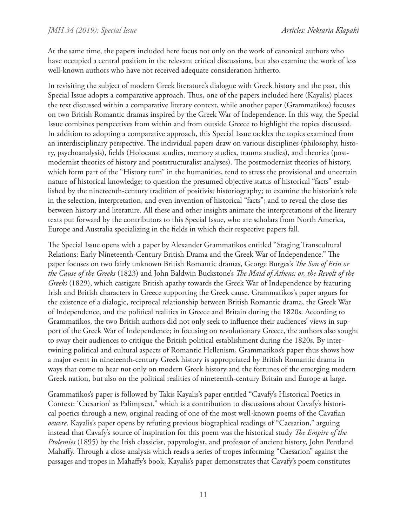At the same time, the papers included here focus not only on the work of canonical authors who have occupied a central position in the relevant critical discussions, but also examine the work of less well-known authors who have not received adequate consideration hitherto.

In revisiting the subject of modern Greek literature's dialogue with Greek history and the past, this Special Issue adopts a comparative approach. Thus, one of the papers included here (Kayalis) places the text discussed within a comparative literary context, while another paper (Grammatikos) focuses on two British Romantic dramas inspired by the Greek War of Independence. In this way, the Special Issue combines perspectives from within and from outside Greece to highlight the topics discussed. In addition to adopting a comparative approach, this Special Issue tackles the topics examined from an interdisciplinary perspective. The individual papers draw on various disciplines (philosophy, history, psychoanalysis), fields (Holocaust studies, memory studies, trauma studies), and theories (postmodernist theories of history and poststructuralist analyses). The postmodernist theories of history, which form part of the "History turn" in the humanities, tend to stress the provisional and uncertain nature of historical knowledge; to question the presumed objective status of historical "facts" established by the nineteenth-century tradition of positivist historiography; to examine the historian's role in the selection, interpretation, and even invention of historical "facts"; and to reveal the close ties between history and literature. All these and other insights animate the interpretations of the literary texts put forward by the contributors to this Special Issue, who are scholars from North America, Europe and Australia specializing in the fields in which their respective papers fall.

The Special Issue opens with a paper by Alexander Grammatikos entitled "Staging Transcultural Relations: Early Nineteenth-Century British Drama and the Greek War of Independence." The paper focuses on two fairly unknown British Romantic dramas, George Burges's *The Son of Erin or the Cause of the Greeks* (1823) and John Baldwin Buckstone's *The Maid of Athens; or, the Revolt of the Greeks* (1829), which castigate British apathy towards the Greek War of Independence by featuring Irish and British characters in Greece supporting the Greek cause. Grammatikos's paper argues for the existence of a dialogic, reciprocal relationship between British Romantic drama, the Greek War of Independence, and the political realities in Greece and Britain during the 1820s. According to Grammatikos, the two British authors did not only seek to influence their audiences' views in support of the Greek War of Independence; in focusing on revolutionary Greece, the authors also sought to sway their audiences to critique the British political establishment during the 1820s. By intertwining political and cultural aspects of Romantic Hellenism, Grammatikos's paper thus shows how a major event in nineteenth-century Greek history is appropriated by British Romantic drama in ways that come to bear not only on modern Greek history and the fortunes of the emerging modern Greek nation, but also on the political realities of nineteenth-century Britain and Europe at large.

Grammatikos's paper is followed by Takis Kayalis's paper entitled "Cavafy's Historical Poetics in Context: 'Caesarion' as Palimpsest," which is a contribution to discussions about Cavafy's historical poetics through a new, original reading of one of the most well-known poems of the Cavafian *oeuvre*. Kayalis's paper opens by refuting previous biographical readings of "Caesarion," arguing instead that Cavafy's source of inspiration for this poem was the historical study *The Empire of the Ptolemies* (1895) by the Irish classicist, papyrologist, and professor of ancient history, John Pentland Mahaffy. Through a close analysis which reads a series of tropes informing "Caesarion" against the passages and tropes in Mahaffy's book, Kayalis's paper demonstrates that Cavafy's poem constitutes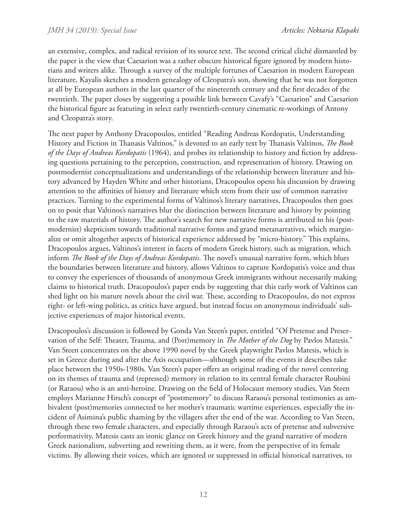an extensive, complex, and radical revision of its source text. The second critical cliché dismantled by the paper is the view that Caesarion was a rather obscure historical figure ignored by modern historians and writers alike. Through a survey of the multiple fortunes of Caesarion in modern European literature, Kayalis sketches a modern genealogy of Cleopatra's son, showing that he was not forgotten at all by European authors in the last quarter of the nineteenth century and the first decades of the twentieth. The paper closes by suggesting a possible link between Cavafy's "Caesarion" and Caesarion the historical figure as featuring in select early twentieth-century cinematic re-workings of Antony and Cleopatra's story.

The next paper by Anthony Dracopoulos, entitled "Reading Andreas Kordopatis, Understanding History and Fiction in Thanasis Valtinos," is devoted to an early text by Thanasis Valtinos, *The Book of the Days of Andreas Kordopatis* (1964), and probes its relationship to history and fiction by addressing questions pertaining to the perception, construction, and representation of history. Drawing on postmodernist conceptualizations and understandings of the relationship between literature and history advanced by Hayden White and other historians, Dracopoulos opens his discussion by drawing attention to the affinities of history and literature which stem from their use of common narrative practices. Turning to the experimental forms of Valtinos's literary narratives, Dracopoulos then goes on to posit that Valtinos's narratives blur the distinction between literature and history by pointing to the raw materials of history. The author's search for new narrative forms is attributed to his (postmodernist) skepticism towards traditional narrative forms and grand metanarratives, which marginalize or omit altogether aspects of historical experience addressed by "micro-history." This explains, Dracopoulos argues, Valtinos's interest in facets of modern Greek history, such as migration, which inform *The Book of the Days of Andreas Kordopatis*. The novel's unusual narrative form, which blurs the boundaries between literature and history, allows Valtinos to capture Kordopatis's voice and thus to convey the experiences of thousands of anonymous Greek immigrants without necessarily making claims to historical truth. Dracopoulos's paper ends by suggesting that this early work of Valtinos can shed light on his mature novels about the civil war. These, according to Dracopoulos, do not express right- or left-wing politics, as critics have argued, but instead focus on anonymous individuals' subjective experiences of major historical events.

Dracopoulos's discussion is followed by Gonda Van Steen's paper, entitled "Of Pretense and Preservation of the Self: Theater, Trauma, and (Post)memory in *The Mother of the Dog* by Pavlos Matesis." Van Steen concentrates on the above 1990 novel by the Greek playwright Pavlos Matesis, which is set in Greece during and after the Axis occupation—although some of the events it describes take place between the 1950s-1980s. Van Steen's paper offers an original reading of the novel centering on its themes of trauma and (repressed) memory in relation to its central female character Roubini (or Raraou) who is an anti-heroine. Drawing on the field of Holocaust memory studies, Van Steen employs Marianne Hirsch's concept of "postmemory" to discuss Raraou's personal testimonies as ambivalent (post)memories connected to her mother's traumatic wartime experiences, especially the incident of Asimina's public shaming by the villagers after the end of the war. According to Van Steen, through these two female characters, and especially through Raraou's acts of pretense and subversive performativity, Matesis casts an ironic glance on Greek history and the grand narrative of modern Greek nationalism, subverting and rewriting them, as it were, from the perspective of its female victims. By allowing their voices, which are ignored or suppressed in official historical narratives, to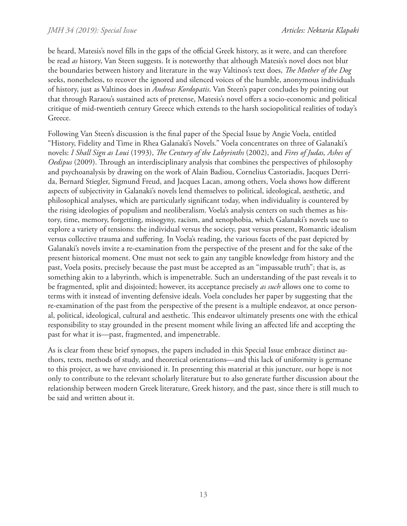be heard, Matesis's novel fills in the gaps of the official Greek history, as it were, and can therefore be read *as* history, Van Steen suggests. It is noteworthy that although Matesis's novel does not blur the boundaries between history and literature in the way Valtinos's text does, *The Mother of the Dog* seeks, nonetheless, to recover the ignored and silenced voices of the humble, anonymous individuals of history, just as Valtinos does in *Andreas Kordopatis*. Van Steen's paper concludes by pointing out that through Raraou's sustained acts of pretense, Matesis's novel offers a socio-economic and political critique of mid-twentieth century Greece which extends to the harsh sociopolitical realities of today's Greece.

Following Van Steen's discussion is the final paper of the Special Issue by Angie Voela, entitled "History, Fidelity and Time in Rhea Galanaki's Novels." Voela concentrates on three of Galanaki's novels: *I Shall Sign as Loui* (1993), *The Century of the Labyrinths* (2002), and *Fires of Judas, Ashes of Oedipus* (2009). Through an interdisciplinary analysis that combines the perspectives of philosophy and psychoanalysis by drawing on the work of Alain Badiou, Cornelius Castoriadis, Jacques Derrida, Bernard Stiegler, Sigmund Freud, and Jacques Lacan, among others, Voela shows how different aspects of subjectivity in Galanaki's novels lend themselves to political, ideological, aesthetic, and philosophical analyses, which are particularly significant today, when individuality is countered by the rising ideologies of populism and neoliberalism. Voela's analysis centers on such themes as history, time, memory, forgetting, misogyny, racism, and xenophobia, which Galanaki's novels use to explore a variety of tensions: the individual versus the society, past versus present, Romantic idealism versus collective trauma and suffering. In Voela's reading, the various facets of the past depicted by Galanaki's novels invite a re-examination from the perspective of the present and for the sake of the present historical moment. One must not seek to gain any tangible knowledge from history and the past, Voela posits, precisely because the past must be accepted as an "impassable truth"; that is, as something akin to a labyrinth, which is impenetrable. Such an understanding of the past reveals it to be fragmented, split and disjointed; however, its acceptance precisely *as such* allows one to come to terms with it instead of inventing defensive ideals. Voela concludes her paper by suggesting that the re-examination of the past from the perspective of the present is a multiple endeavor, at once personal, political, ideological, cultural and aesthetic. This endeavor ultimately presents one with the ethical responsibility to stay grounded in the present moment while living an affected life and accepting the past for what it is—past, fragmented, and impenetrable.

As is clear from these brief synopses, the papers included in this Special Issue embrace distinct authors, texts, methods of study, and theoretical orientations—and this lack of uniformity is germane to this project, as we have envisioned it. In presenting this material at this juncture, our hope is not only to contribute to the relevant scholarly literature but to also generate further discussion about the relationship between modern Greek literature, Greek history, and the past, since there is still much to be said and written about it.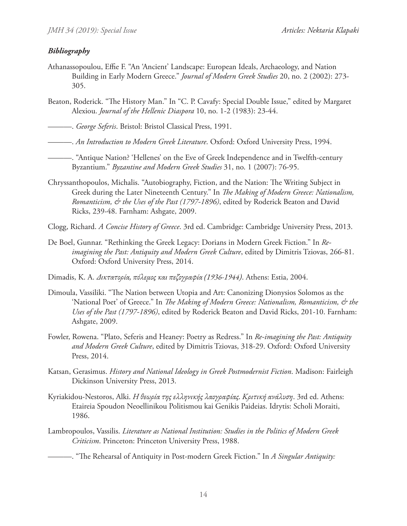# *Bibliography*

- Athanassopoulou, Effie F. "An 'Ancient' Landscape: European Ideals, Archaeology, and Nation Building in Early Modern Greece." *Journal of Modern Greek Studies* 20, no. 2 (2002): 273- 305.
- Beaton, Roderick. "The History Man." In "C. P. Cavafy: Special Double Issue," edited by Margaret Alexiou. *Journal of the Hellenic Diaspora* 10, no. 1-2 (1983): 23-44.
- ———. *George Seferis*. Bristol: Bristol Classical Press, 1991.
- ———. *An Introduction to Modern Greek Literature*. Oxford: Oxford University Press, 1994.
	- ———. "Antique Nation? 'Hellenes' on the Eve of Greek Independence and in Twelfth-century Byzantium." *Byzantine and Modern Greek Studies* 31, no. 1 (2007): 76-95.
- Chryssanthopoulos, Michalis. "Autobiography, Fiction, and the Nation: The Writing Subject in Greek during the Later Nineteenth Century." In *The Making of Modern Greece: Nationalism, Romanticism, & the Uses of the Past (1797-1896)*, edited by Roderick Beaton and David Ricks, 239-48. Farnham: Ashgate, 2009.
- Clogg, Richard. *A Concise History of Greece*. 3rd ed. Cambridge: Cambridge University Press, 2013.
- De Boel, Gunnar. "Rethinking the Greek Legacy: Dorians in Modern Greek Fiction." In *Reimagining the Past: Antiquity and Modern Greek Culture*, edited by Dimitris Tziovas, 266-81. Oxford: Oxford University Press, 2014.
- Dimadis, K. A. *Δικτατορία, πόλεμος και πεζογραφία (1936-1944)*. Athens: Estia, 2004.
- Dimoula, Vassiliki. "The Nation between Utopia and Art: Canonizing Dionysios Solomos as the 'National Poet' of Greece." In *The Making of Modern Greece: Nationalism, Romanticism, & the Uses of the Past (1797-1896)*, edited by Roderick Beaton and David Ricks, 201-10. Farnham: Ashgate, 2009.
- Fowler, Rowena. "Plato, Seferis and Heaney: Poetry as Redress." In *Re-imagining the Past: Antiquity and Modern Greek Culture*, edited by Dimitris Tziovas, 318-29. Oxford: Oxford University Press, 2014.
- Katsan, Gerasimus. *History and National Ideology in Greek Postmodernist Fiction*. Madison: Fairleigh Dickinson University Press, 2013.
- Kyriakidou-Nestoros, Alki. *Η θεωρία της ελληνικής λαογραφίας. Κριτική ανάλυση*. 3rd ed. Athens: Etaireia Spoudon Neoellinikou Politismou kai Genikis Paideias. Idrytis: Scholi Moraiti, 1986.
- Lambropoulos, Vassilis. *Literature as National Institution: Studies in the Politics of Modern Greek Criticism*. Princeton: Princeton University Press, 1988.

———. "The Rehearsal of Antiquity in Post-modern Greek Fiction." In *A Singular Antiquity:*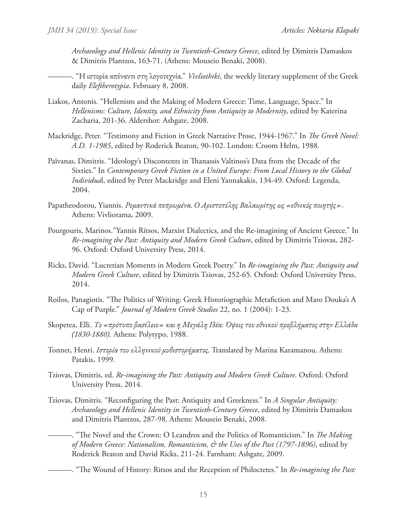*Archaeology and Hellenic Identity in Twentieth-Century Greece*, edited by Dimitris Damaskos & Dimitris Plantzos, 163-71. (Athens: Mouseio Benaki, 2008).

- ———. "Η ιστορία απέναντι στη λογοτεχνία." *Vivliothiki*, the weekly literary supplement of the Greek daily *Eleftherotypia*. February 8, 2008.
- Liakos, Antonis. "Hellenism and the Making of Modern Greece: Time, Language, Space." In *Hellenisms: Culture, Identity, and Ethnicity from Antiquity to Modernity*, edited by Katerina Zacharia, 201-36. Aldershot: Ashgate, 2008.
- Mackridge, Peter. "Testimony and Fiction in Greek Narrative Prose, 1944-1967." In *The Greek Novel: A.D. 1-1985*, edited by Roderick Beaton, 90-102. London: Croom Helm, 1988.
- Païvanas, Dimitris. "Ideology's Discontents in Thanassis Valtinos's Data from the Decade of the Sixties." In *Contemporary Greek Fiction in a United Europe: From Local History to the Global Individua*l, edited by Peter Mackridge and Eleni Yannakakis, 134-49. Oxford: Legenda, 2004.
- Papatheodorou, Yiannis. *Ρομαντικά πεπρωμένα. Ο Αριστοτέλης Βαλαωρίτης ως «εθνικός ποιητής»*. Athens: Vivliorama, 2009.
- Pourgouris, Marinos."Yannis Ritsos, Marxist Dialectics, and the Re-imagining of Ancient Greece." In *Re-imagining the Past: Antiquity and Modern Greek Culture*, edited by Dimitris Tziovas, 282- 96. Oxford: Oxford University Press, 2014.
- Ricks, David. "Lucretian Moments in Modern Greek Poetry." In *Re-imagining the Past: Antiquity and Modern Greek Culture*, edited by Dimitris Tziovas, 252-65. Oxford: Oxford University Press, 2014.
- Roilos, Panagiotis. "The Politics of Writing: Greek Historiographic Metafiction and Maro Douka's A Cap of Purple." *Journal of Modern Greek Studies* 22, no. 1 (2004): 1-23.
- Skopetea, Elli. *Το «πρότυπο βασίλειο» και η Μεγάλη Ιδέα: Όψεις του εθνικού προβλήματος στην Ελλάδα (1830-1880)*. Athens: Polytypo, 1988.
- Tonnet, Henri. *Ιστορία του ελληνικού μυθιστορήματος.* Translated by Marina Karamanou. Athens: Patakis, 1999.
- Tziovas, Dimitris, ed. *Re-imagining the Past: Antiquity and Modern Greek Culture*. Oxford: Oxford University Press, 2014.
- Tziovas, Dimitris. "Reconfiguring the Past: Antiquity and Greekness." In *A Singular Antiquity: Archaeology and Hellenic Identity in Twentieth-Century Greece*, edited by Dimitris Damaskos and Dimitris Plantzos, 287-98. Athens: Mouseio Benaki, 2008.
	- ———. "The Novel and the Crown: O Leandros and the Politics of Romanticism." In *The Making of Modern Greece: Nationalism, Romanticism, & the Uses of the Past (1797-1896)*, edited by Roderick Beaton and David Ricks, 211-24. Farnham: Ashgate, 2009.
		- ———. "The Wound of History: Ritsos and the Reception of Philoctetes." In *Re-imagining the Past:*